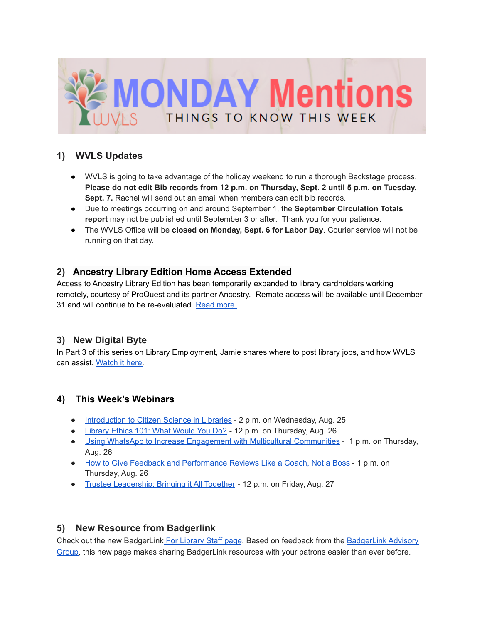

# **1) WVLS Updates**

- WVLS is going to take advantage of the holiday weekend to run a thorough Backstage process. **Please do not edit Bib records from 12 p.m. on Thursday, Sept. 2 until 5 p.m. on Tuesday, Sept. 7.** Rachel will send out an email when members can edit bib records.
- Due to meetings occurring on and around September 1, the **September Circulation Totals report** may not be published until September 3 or after. Thank you for your patience.
- The WVLS Office will be **closed on Monday, Sept. 6 for Labor Day**. Courier service will not be running on that day.

## **2) Ancestry Library Edition Home Access Extended**

Access to Ancestry Library Edition has been temporarily expanded to library cardholders working remotely, courtesy of ProQuest and its partner Ancestry. Remote access will be available until December 31 and will continue to be re-evaluated. Read [more.](https://support.proquest.com/articledetail?id=kA13r0000003VNdCAM)

## **3) New Digital Byte**

In Part 3 of this series on Library Employment, Jamie shares where to post library jobs, and how WVLS can assist. [Watch](https://youtu.be/UXgzIVo3opc) it here.

## **4) This Week's Webinars**

- [Introduction](https://us02web.zoom.us/meeting/register/tZclcu2gpjsrH9bUFuXFBoFxUuQE1w0umXa4?timezone_id=America%2FChicago) to Citizen Science in Libraries 2 p.m. on Wednesday, Aug. 25
- [Library](https://attendee.gotowebinar.com/register/8660979950191374863) Ethics 101: What Would You Do? 12 p.m. on Thursday, Aug. 26
- Using WhatsApp to Increase Engagement with Multicultural [Communities](https://zoom.us/webinar/register/WN_x7O5brSXTry9KUotnciY-w?timezone_id=America%2FChicago) 1 p.m. on Thursday, Aug. 26
- How to Give Feedback and [Performance](https://event.on24.com/eventRegistration/EventLobbyServlet?target=reg20.jsp&partnerref=DASiteListing&eventid=3325549&sessionid=1&key=8B6F8442104DA6CA484372D5D605BEC4®Tag=&V2=false&sourcepage=register) Reviews Like a Coach, Not a Boss 1 p.m. on Thursday, Aug. 26
- Trustee [Leadership:](https://attendee.gotowebinar.com/register/1795819561869642511) Bringing it All Together 12 p.m. on Friday, Aug. 27

## **5) New Resource from Badgerlink**

Check out the new BadgerLink For [Library](http://badgerlink.dpi.wi.gov/library-staff) Staff page. Based on feedback from the [BadgerLink](https://api.follow.it/trackstatistics/v2/URoRaxTIbVfjrRSyf201IgNeOKDQOa-OVna3F6Jhi3U0MQhAZmC6-Wq5dukTFtxrwDzAx0b3GD1Un2ZAiKmatw?key=--XHZqzvL83-OiVHHxQ7X5SBJV1GQNH5EiAdJXf0bZR6ruyCd3YDmhqoUWUTo9eAQhDROd5LJ5w) Advisory [Group,](https://api.follow.it/trackstatistics/v2/URoRaxTIbVfjrRSyf201IgNeOKDQOa-OVna3F6Jhi3U0MQhAZmC6-Wq5dukTFtxrwDzAx0b3GD1Un2ZAiKmatw?key=--XHZqzvL83-OiVHHxQ7X5SBJV1GQNH5EiAdJXf0bZR6ruyCd3YDmhqoUWUTo9eAQhDROd5LJ5w) this new page makes sharing BadgerLink resources with your patrons easier than ever before.